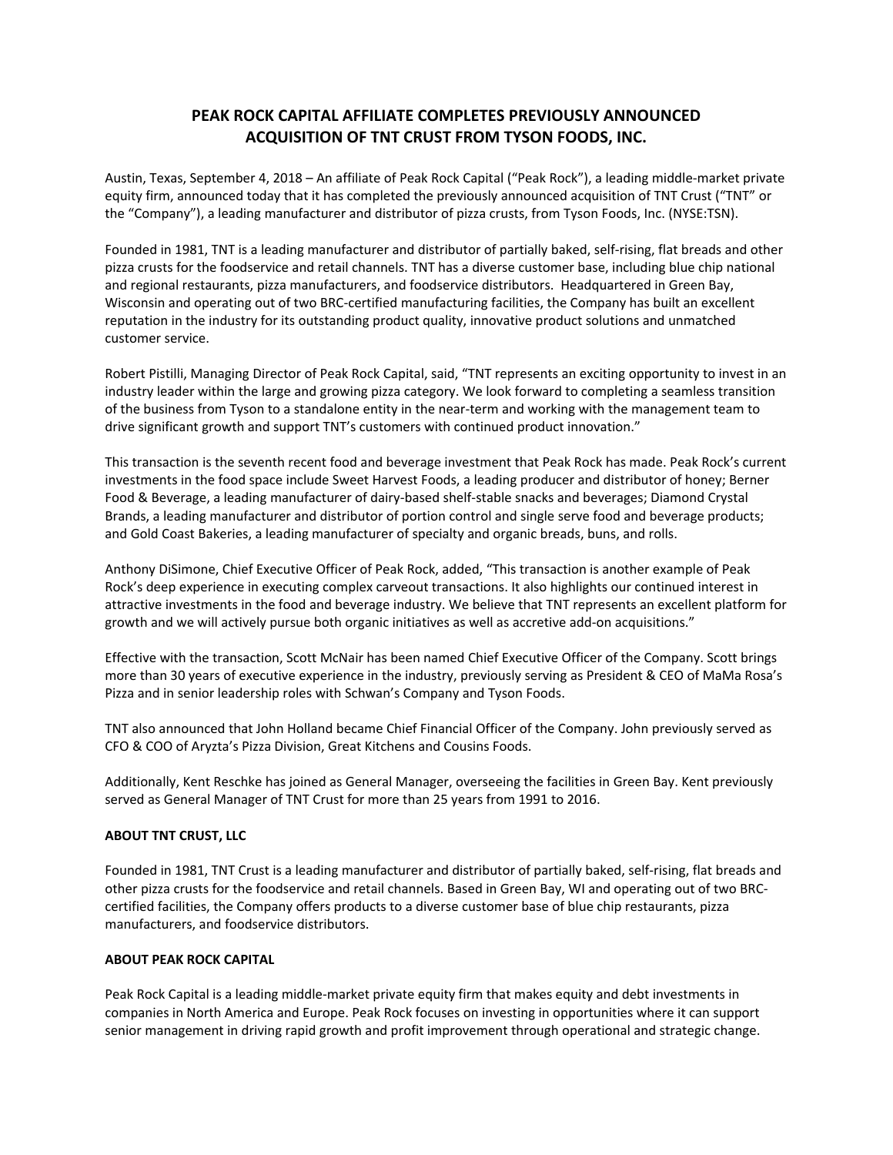## **PEAK ROCK CAPITAL AFFILIATE COMPLETES PREVIOUSLY ANNOUNCED ACQUISITION OF TNT CRUST FROM TYSON FOODS, INC.**

Austin, Texas, September 4, 2018 – An affiliate of Peak Rock Capital ("Peak Rock"), a leading middle‐market private equity firm, announced today that it has completed the previously announced acquisition of TNT Crust ("TNT" or the "Company"), a leading manufacturer and distributor of pizza crusts, from Tyson Foods, Inc. (NYSE:TSN).

Founded in 1981, TNT is a leading manufacturer and distributor of partially baked, self‐rising, flat breads and other pizza crusts for the foodservice and retail channels. TNT has a diverse customer base, including blue chip national and regional restaurants, pizza manufacturers, and foodservice distributors. Headquartered in Green Bay, Wisconsin and operating out of two BRC‐certified manufacturing facilities, the Company has built an excellent reputation in the industry for its outstanding product quality, innovative product solutions and unmatched customer service.

Robert Pistilli, Managing Director of Peak Rock Capital, said, "TNT represents an exciting opportunity to invest in an industry leader within the large and growing pizza category. We look forward to completing a seamless transition of the business from Tyson to a standalone entity in the near-term and working with the management team to drive significant growth and support TNT's customers with continued product innovation."

This transaction is the seventh recent food and beverage investment that Peak Rock has made. Peak Rock's current investments in the food space include Sweet Harvest Foods, a leading producer and distributor of honey; Berner Food & Beverage, a leading manufacturer of dairy‐based shelf‐stable snacks and beverages; Diamond Crystal Brands, a leading manufacturer and distributor of portion control and single serve food and beverage products; and Gold Coast Bakeries, a leading manufacturer of specialty and organic breads, buns, and rolls.

Anthony DiSimone, Chief Executive Officer of Peak Rock, added, "This transaction is another example of Peak Rock's deep experience in executing complex carveout transactions. It also highlights our continued interest in attractive investments in the food and beverage industry. We believe that TNT represents an excellent platform for growth and we will actively pursue both organic initiatives as well as accretive add-on acquisitions."

Effective with the transaction, Scott McNair has been named Chief Executive Officer of the Company. Scott brings more than 30 years of executive experience in the industry, previously serving as President & CEO of MaMa Rosa's Pizza and in senior leadership roles with Schwan's Company and Tyson Foods.

TNT also announced that John Holland became Chief Financial Officer of the Company. John previously served as CFO & COO of Aryzta's Pizza Division, Great Kitchens and Cousins Foods.

Additionally, Kent Reschke has joined as General Manager, overseeing the facilities in Green Bay. Kent previously served as General Manager of TNT Crust for more than 25 years from 1991 to 2016.

## **ABOUT TNT CRUST, LLC**

Founded in 1981, TNT Crust is a leading manufacturer and distributor of partially baked, self‐rising, flat breads and other pizza crusts for the foodservice and retail channels. Based in Green Bay, WI and operating out of two BRC‐ certified facilities, the Company offers products to a diverse customer base of blue chip restaurants, pizza manufacturers, and foodservice distributors.

## **ABOUT PEAK ROCK CAPITAL**

Peak Rock Capital is a leading middle‐market private equity firm that makes equity and debt investments in companies in North America and Europe. Peak Rock focuses on investing in opportunities where it can support senior management in driving rapid growth and profit improvement through operational and strategic change.